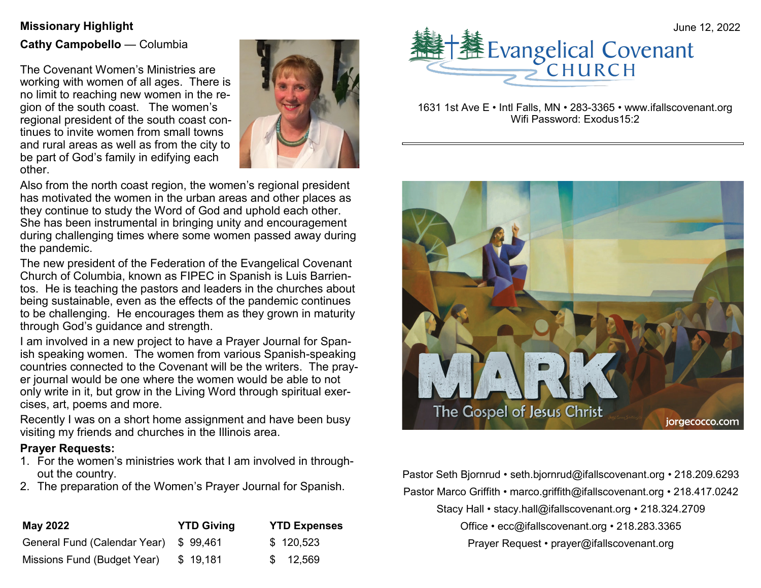**Cathy Campobello** — Columbia

The Covenant Women's Ministries are working with women of all ages. There is no limit to reaching new women in the region of the south coast. The women's regional president of the south coast continues to invite women from small towns and rural areas as well as from the city to be part of God's family in edifying each other.



Also from the north coast region, the women's regional president has motivated the women in the urban areas and other places as they continue to study the Word of God and uphold each other. She has been instrumental in bringing unity and encouragement during challenging times where some women passed away during the pandemic.

The new president of the Federation of the Evangelical Covenant Church of Columbia, known as FIPEC in Spanish is Luis Barrientos. He is teaching the pastors and leaders in the churches about being sustainable, even as the effects of the pandemic continues to be challenging. He encourages them as they grown in maturity through God's guidance and strength.

I am involved in a new project to have a Prayer Journal for Spanish speaking women. The women from various Spanish-speaking countries connected to the Covenant will be the writers. The prayer journal would be one where the women would be able to not only write in it, but grow in the Living Word through spiritual exercises, art, poems and more.

Recently I was on a short home assignment and have been busy visiting my friends and churches in the Illinois area.

#### **Prayer Requests:**

- 1. For the women's ministries work that I am involved in throughout the country.
- 2. The preparation of the Women's Prayer Journal for Spanish.

| May 2022                     | <b>YTD Giving</b> | <b>YTD Expenses</b> |
|------------------------------|-------------------|---------------------|
| General Fund (Calendar Year) | \$99,461          | \$120,523           |
| Missions Fund (Budget Year)  | \$19,181          | \$12,569            |



1631 1st Ave E • Intl Falls, MN • 283-3365 • www.ifallscovenant.org Wifi Password: Exodus15:2



Pastor Seth Bjornrud • seth.bjornrud@ifallscovenant.org • 218.209.6293 Pastor Marco Griffith • marco.griffith@ifallscovenant.org • 218.417.0242 Stacy Hall • stacy.hall@ifallscovenant.org • 218.324.2709 Office • ecc@ifallscovenant.org • 218.283.3365 Prayer Request • prayer@ifallscovenant.org